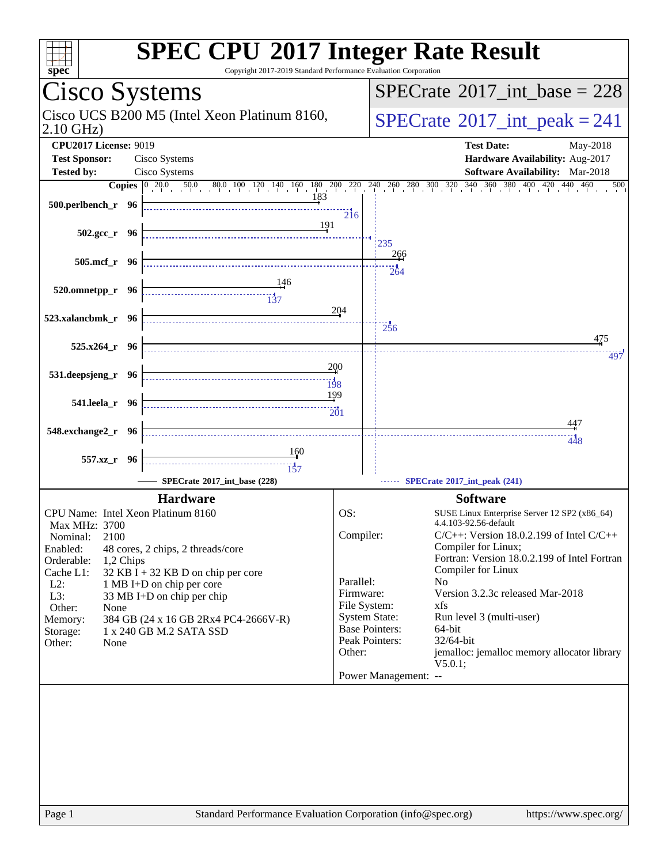| <b>SPEC CPU®2017 Integer Rate Result</b><br>Copyright 2017-2019 Standard Performance Evaluation Corporation<br>spec <sup>®</sup>                                                       |                        |                                         |                                                                      |
|----------------------------------------------------------------------------------------------------------------------------------------------------------------------------------------|------------------------|-----------------------------------------|----------------------------------------------------------------------|
| Cisco Systems                                                                                                                                                                          |                        |                                         | $SPECrate^{\circledast}2017\_int\_base = 228$                        |
| Cisco UCS B200 M5 (Intel Xeon Platinum 8160,<br>$2.10$ GHz)                                                                                                                            |                        | $SPECrate^{\circ}2017\_int\_peak = 241$ |                                                                      |
| <b>CPU2017 License: 9019</b><br>Cisco Systems<br><b>Test Sponsor:</b>                                                                                                                  |                        |                                         | <b>Test Date:</b><br>May-2018<br>Hardware Availability: Aug-2017     |
| <b>Tested by:</b><br>Cisco Systems                                                                                                                                                     |                        |                                         | <b>Software Availability:</b> Mar-2018                               |
| <b>Copies</b> $\begin{bmatrix} 0 & 20.0 & 50.0 & 80.0 & 100 & 120 & 140 & 160 & 180 & 200 & 220 & 240 & 260 & 280 & 300 & 320 & 340 & 360 & 380 & 400 & 420 & 440 & 460 \end{bmatrix}$ |                        |                                         | 500                                                                  |
| 183<br>500.perlbench_r 96                                                                                                                                                              | 216                    |                                         |                                                                      |
| 191<br>$502.\text{gcc r}$ 96                                                                                                                                                           |                        | 235                                     |                                                                      |
| 505.mcf_r 96                                                                                                                                                                           |                        | 266<br>264                              |                                                                      |
| 520.omnetpp_r 96                                                                                                                                                                       |                        |                                         |                                                                      |
| 523.xalancbmk_r 96                                                                                                                                                                     | 204                    | $\frac{1}{256}$                         | 475                                                                  |
| $525.x264 r$ 96                                                                                                                                                                        |                        |                                         | 497                                                                  |
| 531.deepsjeng_r 96                                                                                                                                                                     | 200<br><br>198         |                                         |                                                                      |
| 541.leela_r 96                                                                                                                                                                         | 199                    |                                         |                                                                      |
| 548.exchange2_r 96                                                                                                                                                                     |                        |                                         | 447<br>448                                                           |
| 160<br>557.xz_r 96                                                                                                                                                                     |                        |                                         |                                                                      |
| SPECrate®2017 int base (228)                                                                                                                                                           |                        |                                         | SPECrate®2017_int_peak (241)                                         |
| <b>Hardware</b>                                                                                                                                                                        |                        |                                         | <b>Software</b>                                                      |
| CPU Name: Intel Xeon Platinum 8160                                                                                                                                                     | OS:                    |                                         | SUSE Linux Enterprise Server 12 SP2 (x86_64)                         |
| <b>Max MHz: 3700</b>                                                                                                                                                                   |                        |                                         | 4.4.103-92.56-default                                                |
| Nominal:<br>2100<br>Enabled:<br>48 cores, 2 chips, 2 threads/core                                                                                                                      | Compiler:              |                                         | $C/C++$ : Version 18.0.2.199 of Intel $C/C++$<br>Compiler for Linux; |
| Orderable:<br>1,2 Chips                                                                                                                                                                |                        |                                         | Fortran: Version 18.0.2.199 of Intel Fortran                         |
| $32$ KB I + 32 KB D on chip per core<br>Cache L1:                                                                                                                                      |                        |                                         | Compiler for Linux                                                   |
| $L2$ :<br>1 MB I+D on chip per core                                                                                                                                                    | Parallel:<br>Firmware: | N <sub>0</sub>                          | Version 3.2.3c released Mar-2018                                     |
| $L3$ :<br>33 MB I+D on chip per chip<br>Other:<br>None                                                                                                                                 | File System:           | xfs                                     |                                                                      |
| Memory:<br>384 GB (24 x 16 GB 2Rx4 PC4-2666V-R)                                                                                                                                        | <b>System State:</b>   |                                         | Run level 3 (multi-user)                                             |
| 1 x 240 GB M.2 SATA SSD<br>Storage:                                                                                                                                                    |                        | <b>Base Pointers:</b>                   | 64-bit                                                               |
| Other:<br>None                                                                                                                                                                         | Other:                 | Peak Pointers:                          | 32/64-bit<br>jemalloc: jemalloc memory allocator library             |
|                                                                                                                                                                                        |                        | Power Management: --                    | V5.0.1;                                                              |
|                                                                                                                                                                                        |                        |                                         |                                                                      |
|                                                                                                                                                                                        |                        |                                         |                                                                      |
|                                                                                                                                                                                        |                        |                                         |                                                                      |
|                                                                                                                                                                                        |                        |                                         |                                                                      |
|                                                                                                                                                                                        |                        |                                         |                                                                      |
|                                                                                                                                                                                        |                        |                                         |                                                                      |
|                                                                                                                                                                                        |                        |                                         |                                                                      |
| Standard Performance Evaluation Corporation (info@spec.org)<br>Page 1                                                                                                                  |                        |                                         | https://www.spec.org/                                                |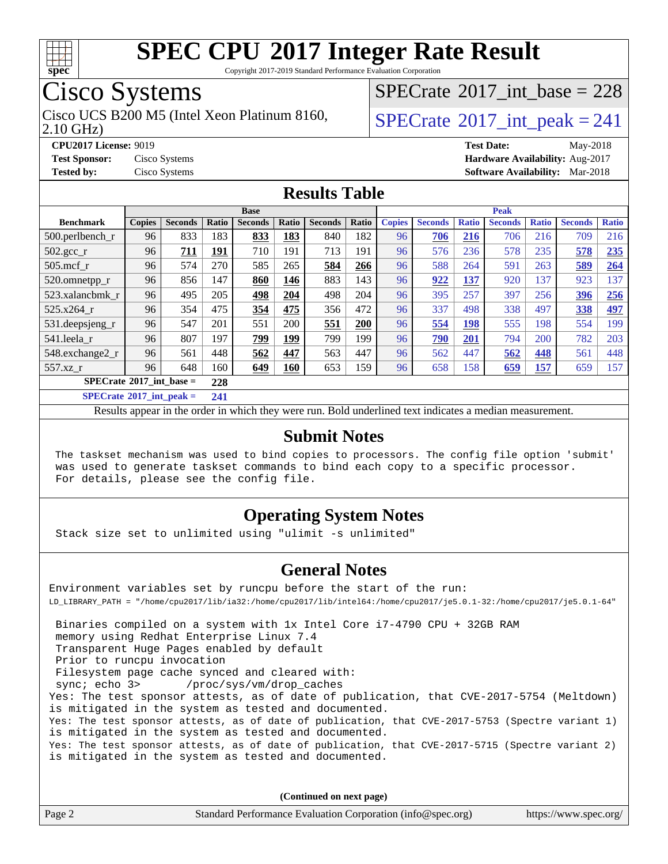

Copyright 2017-2019 Standard Performance Evaluation Corporation

## Cisco Systems

2.10 GHz) Cisco UCS B200 M5 (Intel Xeon Platinum 8160,  $\vert$ [SPECrate](http://www.spec.org/auto/cpu2017/Docs/result-fields.html#SPECrate2017intpeak)®[2017\\_int\\_peak = 2](http://www.spec.org/auto/cpu2017/Docs/result-fields.html#SPECrate2017intpeak)41

 $SPECrate$ <sup>®</sup>[2017\\_int\\_base =](http://www.spec.org/auto/cpu2017/Docs/result-fields.html#SPECrate2017intbase) 228

**[CPU2017 License:](http://www.spec.org/auto/cpu2017/Docs/result-fields.html#CPU2017License)** 9019 **[Test Date:](http://www.spec.org/auto/cpu2017/Docs/result-fields.html#TestDate)** May-2018

**[Test Sponsor:](http://www.spec.org/auto/cpu2017/Docs/result-fields.html#TestSponsor)** Cisco Systems **[Hardware Availability:](http://www.spec.org/auto/cpu2017/Docs/result-fields.html#HardwareAvailability)** Aug-2017 **[Tested by:](http://www.spec.org/auto/cpu2017/Docs/result-fields.html#Testedby)** Cisco Systems **[Software Availability:](http://www.spec.org/auto/cpu2017/Docs/result-fields.html#SoftwareAvailability)** Mar-2018

#### **[Results Table](http://www.spec.org/auto/cpu2017/Docs/result-fields.html#ResultsTable)**

| <b>Base</b>                              |               |                |         |                | <b>Peak</b> |                |       |               |                |              |                |              |                |              |
|------------------------------------------|---------------|----------------|---------|----------------|-------------|----------------|-------|---------------|----------------|--------------|----------------|--------------|----------------|--------------|
| <b>Benchmark</b>                         | <b>Copies</b> | <b>Seconds</b> | Ratio   | <b>Seconds</b> | Ratio       | <b>Seconds</b> | Ratio | <b>Copies</b> | <b>Seconds</b> | <b>Ratio</b> | <b>Seconds</b> | <b>Ratio</b> | <b>Seconds</b> | <b>Ratio</b> |
| $500.$ perlbench_r                       | 96            | 833            | 183     | 833            | 183         | 840            | 182   | 96            | 706            | 216          | 706            | 216          | 709            | 216          |
| $502.\text{gcc}$ _r                      | 96            | 711            | 191     | 710            | 191         | 713            | 191   | 96            | 576            | 236          | 578            | 235          | 578            | 235          |
| $505$ .mcf r                             | 96            | 574            | 270     | 585            | 265         | 584            | 266   | 96            | 588            | 264          | 591            | 263          | 589            | 264          |
| 520.omnetpp_r                            | 96            | 856            | 147     | 860            | 146         | 883            | 143   | 96            | 922            | 137          | 920            | 137          | 923            | 137          |
| 523.xalancbmk_r                          | 96            | 495            | 205     | 498            | 204         | 498            | 204   | 96            | 395            | 257          | 397            | 256          | 396            | 256          |
| 525.x264 r                               | 96            | 354            | 475     | 354            | 475         | 356            | 472   | 96            | 337            | 498          | 338            | 497          | 338            | 497          |
| 531.deepsjeng_r                          | 96            | 547            | 201     | 551            | 200         | 551            | 200   | 96            | 554            | 198          | 555            | 198          | 554            | 199          |
| 541.leela r                              | 96            | 807            | 197     | 799            | 199         | 799            | 199   | 96            | 790            | 201          | 794            | 200          | 782            | 203          |
| 548.exchange2_r                          | 96            | 561            | 448     | 562            | 447         | 563            | 447   | 96            | 562            | 447          | 562            | 448          | 561            | 448          |
| 557.xz r                                 | 96            | 648            | 160     | 649            | 160         | 653            | 159   | 96            | 658            | 158          | 659            | 157          | 659            | 157          |
| $SPECrate^{\circ}2017$ int base =<br>228 |               |                |         |                |             |                |       |               |                |              |                |              |                |              |
| $CDFAC = 1.6004.7 \cdot 1.4$             |               |                | $A - A$ |                |             |                |       |               |                |              |                |              |                |              |

**[SPECrate](http://www.spec.org/auto/cpu2017/Docs/result-fields.html#SPECrate2017intpeak)[2017\\_int\\_peak =](http://www.spec.org/auto/cpu2017/Docs/result-fields.html#SPECrate2017intpeak) 241**

Results appear in the [order in which they were run](http://www.spec.org/auto/cpu2017/Docs/result-fields.html#RunOrder). Bold underlined text [indicates a median measurement](http://www.spec.org/auto/cpu2017/Docs/result-fields.html#Median).

#### **[Submit Notes](http://www.spec.org/auto/cpu2017/Docs/result-fields.html#SubmitNotes)**

 The taskset mechanism was used to bind copies to processors. The config file option 'submit' was used to generate taskset commands to bind each copy to a specific processor. For details, please see the config file.

#### **[Operating System Notes](http://www.spec.org/auto/cpu2017/Docs/result-fields.html#OperatingSystemNotes)**

Stack size set to unlimited using "ulimit -s unlimited"

#### **[General Notes](http://www.spec.org/auto/cpu2017/Docs/result-fields.html#GeneralNotes)**

Environment variables set by runcpu before the start of the run: LD\_LIBRARY\_PATH = "/home/cpu2017/lib/ia32:/home/cpu2017/lib/intel64:/home/cpu2017/je5.0.1-32:/home/cpu2017/je5.0.1-64"

 Binaries compiled on a system with 1x Intel Core i7-4790 CPU + 32GB RAM memory using Redhat Enterprise Linux 7.4 Transparent Huge Pages enabled by default Prior to runcpu invocation Filesystem page cache synced and cleared with: sync; echo 3> /proc/sys/vm/drop\_caches Yes: The test sponsor attests, as of date of publication, that CVE-2017-5754 (Meltdown) is mitigated in the system as tested and documented. Yes: The test sponsor attests, as of date of publication, that CVE-2017-5753 (Spectre variant 1) is mitigated in the system as tested and documented. Yes: The test sponsor attests, as of date of publication, that CVE-2017-5715 (Spectre variant 2) is mitigated in the system as tested and documented.

**(Continued on next page)**

| Page 2 | Standard Performance Evaluation Corporation (info@spec.org) | https://www.spec.org/ |
|--------|-------------------------------------------------------------|-----------------------|
|--------|-------------------------------------------------------------|-----------------------|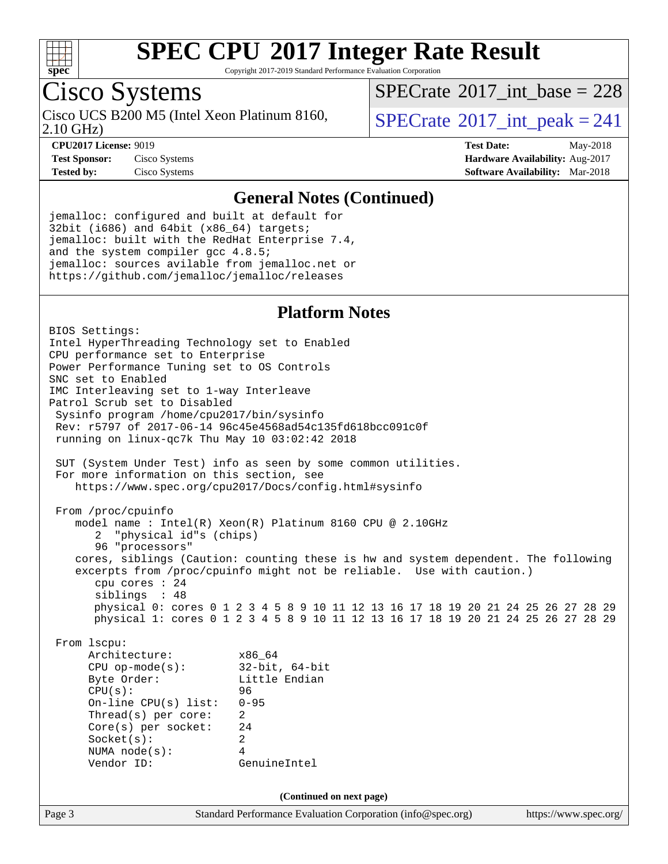

Copyright 2017-2019 Standard Performance Evaluation Corporation

## Cisco Systems

2.10 GHz) Cisco UCS B200 M5 (Intel Xeon Platinum 8160,  $\vert$ [SPECrate](http://www.spec.org/auto/cpu2017/Docs/result-fields.html#SPECrate2017intpeak)®[2017\\_int\\_peak = 2](http://www.spec.org/auto/cpu2017/Docs/result-fields.html#SPECrate2017intpeak)41

 $SPECTate$ <sup>®</sup>[2017\\_int\\_base =](http://www.spec.org/auto/cpu2017/Docs/result-fields.html#SPECrate2017intbase) 228

**[CPU2017 License:](http://www.spec.org/auto/cpu2017/Docs/result-fields.html#CPU2017License)** 9019 **[Test Date:](http://www.spec.org/auto/cpu2017/Docs/result-fields.html#TestDate)** May-2018 **[Test Sponsor:](http://www.spec.org/auto/cpu2017/Docs/result-fields.html#TestSponsor)** Cisco Systems **[Hardware Availability:](http://www.spec.org/auto/cpu2017/Docs/result-fields.html#HardwareAvailability)** Aug-2017 **[Tested by:](http://www.spec.org/auto/cpu2017/Docs/result-fields.html#Testedby)** Cisco Systems **[Software Availability:](http://www.spec.org/auto/cpu2017/Docs/result-fields.html#SoftwareAvailability)** Mar-2018

#### **[General Notes \(Continued\)](http://www.spec.org/auto/cpu2017/Docs/result-fields.html#GeneralNotes)**

jemalloc: configured and built at default for 32bit (i686) and 64bit (x86\_64) targets; jemalloc: built with the RedHat Enterprise 7.4, and the system compiler gcc 4.8.5; jemalloc: sources avilable from jemalloc.net or <https://github.com/jemalloc/jemalloc/releases>

#### **[Platform Notes](http://www.spec.org/auto/cpu2017/Docs/result-fields.html#PlatformNotes)**

Page 3 Standard Performance Evaluation Corporation [\(info@spec.org\)](mailto:info@spec.org) <https://www.spec.org/> BIOS Settings: Intel HyperThreading Technology set to Enabled CPU performance set to Enterprise Power Performance Tuning set to OS Controls SNC set to Enabled IMC Interleaving set to 1-way Interleave Patrol Scrub set to Disabled Sysinfo program /home/cpu2017/bin/sysinfo Rev: r5797 of 2017-06-14 96c45e4568ad54c135fd618bcc091c0f running on linux-qc7k Thu May 10 03:02:42 2018 SUT (System Under Test) info as seen by some common utilities. For more information on this section, see <https://www.spec.org/cpu2017/Docs/config.html#sysinfo> From /proc/cpuinfo model name : Intel(R) Xeon(R) Platinum 8160 CPU @ 2.10GHz 2 "physical id"s (chips) 96 "processors" cores, siblings (Caution: counting these is hw and system dependent. The following excerpts from /proc/cpuinfo might not be reliable. Use with caution.) cpu cores : 24 siblings : 48 physical 0: cores 0 1 2 3 4 5 8 9 10 11 12 13 16 17 18 19 20 21 24 25 26 27 28 29 physical 1: cores 0 1 2 3 4 5 8 9 10 11 12 13 16 17 18 19 20 21 24 25 26 27 28 29 From lscpu: Architecture: x86\_64 CPU op-mode(s): 32-bit, 64-bit Byte Order: Little Endian CPU(s): 96 On-line CPU(s) list: 0-95 Thread(s) per core: 2 Core(s) per socket: 24 Socket(s): 2 NUMA node(s): 4 Vendor ID: GenuineIntel **(Continued on next page)**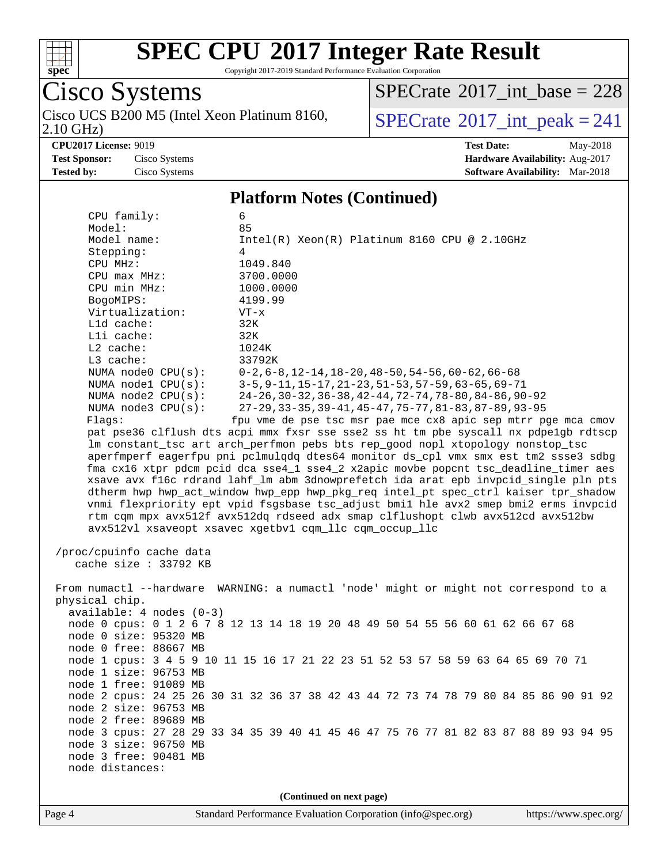

Copyright 2017-2019 Standard Performance Evaluation Corporation

Cisco Systems 2.10 GHz) Cisco UCS B200 M5 (Intel Xeon Platinum 8160,  $\overline{SPECrate}$  $\overline{SPECrate}$  $\overline{SPECrate}$ <sup>®</sup>[2017\\_int\\_peak = 2](http://www.spec.org/auto/cpu2017/Docs/result-fields.html#SPECrate2017intpeak)41

 $SPECrate$ <sup>®</sup>[2017\\_int\\_base =](http://www.spec.org/auto/cpu2017/Docs/result-fields.html#SPECrate2017intbase) 228

**[CPU2017 License:](http://www.spec.org/auto/cpu2017/Docs/result-fields.html#CPU2017License)** 9019 **[Test Date:](http://www.spec.org/auto/cpu2017/Docs/result-fields.html#TestDate)** May-2018 **[Test Sponsor:](http://www.spec.org/auto/cpu2017/Docs/result-fields.html#TestSponsor)** Cisco Systems **[Hardware Availability:](http://www.spec.org/auto/cpu2017/Docs/result-fields.html#HardwareAvailability)** Aug-2017 **[Tested by:](http://www.spec.org/auto/cpu2017/Docs/result-fields.html#Testedby)** Cisco Systems **[Software Availability:](http://www.spec.org/auto/cpu2017/Docs/result-fields.html#SoftwareAvailability)** Mar-2018

#### **[Platform Notes \(Continued\)](http://www.spec.org/auto/cpu2017/Docs/result-fields.html#PlatformNotes)**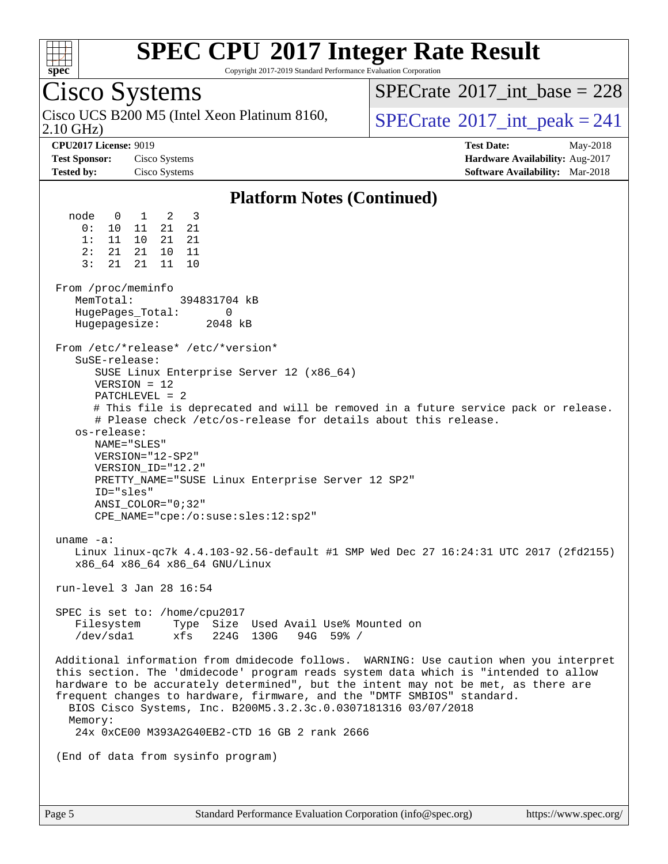

Copyright 2017-2019 Standard Performance Evaluation Corporation

## Cisco Systems

2.10 GHz) Cisco UCS B200 M5 (Intel Xeon Platinum 8160,  $\vert$ [SPECrate](http://www.spec.org/auto/cpu2017/Docs/result-fields.html#SPECrate2017intpeak)®[2017\\_int\\_peak = 2](http://www.spec.org/auto/cpu2017/Docs/result-fields.html#SPECrate2017intpeak)41

 $SPECTate$ <sup>®</sup>[2017\\_int\\_base =](http://www.spec.org/auto/cpu2017/Docs/result-fields.html#SPECrate2017intbase) 228

**[CPU2017 License:](http://www.spec.org/auto/cpu2017/Docs/result-fields.html#CPU2017License)** 9019 **[Test Date:](http://www.spec.org/auto/cpu2017/Docs/result-fields.html#TestDate)** May-2018 **[Test Sponsor:](http://www.spec.org/auto/cpu2017/Docs/result-fields.html#TestSponsor)** Cisco Systems **[Hardware Availability:](http://www.spec.org/auto/cpu2017/Docs/result-fields.html#HardwareAvailability)** Aug-2017 **[Tested by:](http://www.spec.org/auto/cpu2017/Docs/result-fields.html#Testedby)** Cisco Systems **[Software Availability:](http://www.spec.org/auto/cpu2017/Docs/result-fields.html#SoftwareAvailability)** Mar-2018

#### **[Platform Notes \(Continued\)](http://www.spec.org/auto/cpu2017/Docs/result-fields.html#PlatformNotes)**

 node 0 1 2 3 0: 10 11 21 21 1: 11 10 21 21 2: 21 21 10 11 3: 21 21 11 10 From /proc/meminfo<br>MemTotal: 394831704 kB HugePages\_Total: 0 Hugepagesize: 2048 kB From /etc/\*release\* /etc/\*version\* SuSE-release: SUSE Linux Enterprise Server 12 (x86\_64) VERSION = 12 PATCHLEVEL = 2 # This file is deprecated and will be removed in a future service pack or release. # Please check /etc/os-release for details about this release. os-release: NAME="SLES" VERSION="12-SP2" VERSION\_ID="12.2" PRETTY\_NAME="SUSE Linux Enterprise Server 12 SP2" ID="sles" ANSI\_COLOR="0;32" CPE\_NAME="cpe:/o:suse:sles:12:sp2" uname -a: Linux linux-qc7k 4.4.103-92.56-default #1 SMP Wed Dec 27 16:24:31 UTC 2017 (2fd2155) x86\_64 x86\_64 x86\_64 GNU/Linux run-level 3 Jan 28 16:54 SPEC is set to: /home/cpu2017 Filesystem Type Size Used Avail Use% Mounted on /dev/sda1 xfs 224G 130G 94G 59% / Additional information from dmidecode follows. WARNING: Use caution when you interpret this section. The 'dmidecode' program reads system data which is "intended to allow hardware to be accurately determined", but the intent may not be met, as there are frequent changes to hardware, firmware, and the "DMTF SMBIOS" standard. BIOS Cisco Systems, Inc. B200M5.3.2.3c.0.0307181316 03/07/2018 Memory: 24x 0xCE00 M393A2G40EB2-CTD 16 GB 2 rank 2666 (End of data from sysinfo program)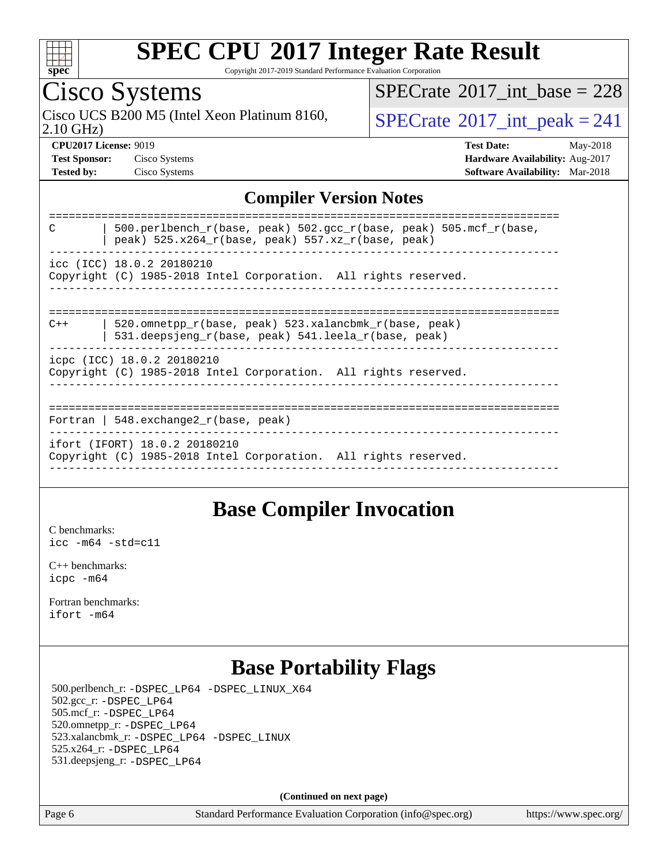

Copyright 2017-2019 Standard Performance Evaluation Corporation

## Cisco Systems

2.10 GHz) Cisco UCS B200 M5 (Intel Xeon Platinum 8160,  $SPECrate@2017(int _peak = 241$  $SPECrate@2017(int _peak = 241$ 

 $SPECTate@2017_int\_base = 228$ 

**[CPU2017 License:](http://www.spec.org/auto/cpu2017/Docs/result-fields.html#CPU2017License)** 9019 **[Test Date:](http://www.spec.org/auto/cpu2017/Docs/result-fields.html#TestDate)** May-2018 **[Test Sponsor:](http://www.spec.org/auto/cpu2017/Docs/result-fields.html#TestSponsor)** Cisco Systems **[Hardware Availability:](http://www.spec.org/auto/cpu2017/Docs/result-fields.html#HardwareAvailability)** Aug-2017 **[Tested by:](http://www.spec.org/auto/cpu2017/Docs/result-fields.html#Testedby)** Cisco Systems **[Software Availability:](http://www.spec.org/auto/cpu2017/Docs/result-fields.html#SoftwareAvailability)** Mar-2018

#### **[Compiler Version Notes](http://www.spec.org/auto/cpu2017/Docs/result-fields.html#CompilerVersionNotes)**

| 500.perlbench r(base, peak) 502.qcc r(base, peak) 505.mcf r(base,<br>C<br>peak) $525.x264_r(base, peak) 557.xz_r(base, peak)$ |
|-------------------------------------------------------------------------------------------------------------------------------|
| icc (ICC) 18.0.2 20180210<br>Copyright (C) 1985-2018 Intel Corporation. All rights reserved.                                  |
|                                                                                                                               |
| 520.omnetpp r(base, peak) 523.xalancbmk r(base, peak)<br>$C++$<br>531.deepsjeng_r(base, peak) 541.leela_r(base, peak)         |
| icpc (ICC) 18.0.2 20180210<br>Copyright (C) 1985-2018 Intel Corporation. All rights reserved.                                 |
|                                                                                                                               |
| Fortran   548. $exchange2 r(base, peak)$                                                                                      |
| ifort (IFORT) 18.0.2 20180210<br>Copyright (C) 1985-2018 Intel Corporation. All rights reserved.                              |
|                                                                                                                               |

### **[Base Compiler Invocation](http://www.spec.org/auto/cpu2017/Docs/result-fields.html#BaseCompilerInvocation)**

[C benchmarks](http://www.spec.org/auto/cpu2017/Docs/result-fields.html#Cbenchmarks): [icc -m64 -std=c11](http://www.spec.org/cpu2017/results/res2018q2/cpu2017-20180515-05682.flags.html#user_CCbase_intel_icc_64bit_c11_33ee0cdaae7deeeab2a9725423ba97205ce30f63b9926c2519791662299b76a0318f32ddfffdc46587804de3178b4f9328c46fa7c2b0cd779d7a61945c91cd35)

[C++ benchmarks:](http://www.spec.org/auto/cpu2017/Docs/result-fields.html#CXXbenchmarks) [icpc -m64](http://www.spec.org/cpu2017/results/res2018q2/cpu2017-20180515-05682.flags.html#user_CXXbase_intel_icpc_64bit_4ecb2543ae3f1412ef961e0650ca070fec7b7afdcd6ed48761b84423119d1bf6bdf5cad15b44d48e7256388bc77273b966e5eb805aefd121eb22e9299b2ec9d9)

[Fortran benchmarks](http://www.spec.org/auto/cpu2017/Docs/result-fields.html#Fortranbenchmarks): [ifort -m64](http://www.spec.org/cpu2017/results/res2018q2/cpu2017-20180515-05682.flags.html#user_FCbase_intel_ifort_64bit_24f2bb282fbaeffd6157abe4f878425411749daecae9a33200eee2bee2fe76f3b89351d69a8130dd5949958ce389cf37ff59a95e7a40d588e8d3a57e0c3fd751)

## **[Base Portability Flags](http://www.spec.org/auto/cpu2017/Docs/result-fields.html#BasePortabilityFlags)**

 500.perlbench\_r: [-DSPEC\\_LP64](http://www.spec.org/cpu2017/results/res2018q2/cpu2017-20180515-05682.flags.html#b500.perlbench_r_basePORTABILITY_DSPEC_LP64) [-DSPEC\\_LINUX\\_X64](http://www.spec.org/cpu2017/results/res2018q2/cpu2017-20180515-05682.flags.html#b500.perlbench_r_baseCPORTABILITY_DSPEC_LINUX_X64) 502.gcc\_r: [-DSPEC\\_LP64](http://www.spec.org/cpu2017/results/res2018q2/cpu2017-20180515-05682.flags.html#suite_basePORTABILITY502_gcc_r_DSPEC_LP64) 505.mcf\_r: [-DSPEC\\_LP64](http://www.spec.org/cpu2017/results/res2018q2/cpu2017-20180515-05682.flags.html#suite_basePORTABILITY505_mcf_r_DSPEC_LP64) 520.omnetpp\_r: [-DSPEC\\_LP64](http://www.spec.org/cpu2017/results/res2018q2/cpu2017-20180515-05682.flags.html#suite_basePORTABILITY520_omnetpp_r_DSPEC_LP64) 523.xalancbmk\_r: [-DSPEC\\_LP64](http://www.spec.org/cpu2017/results/res2018q2/cpu2017-20180515-05682.flags.html#suite_basePORTABILITY523_xalancbmk_r_DSPEC_LP64) [-DSPEC\\_LINUX](http://www.spec.org/cpu2017/results/res2018q2/cpu2017-20180515-05682.flags.html#b523.xalancbmk_r_baseCXXPORTABILITY_DSPEC_LINUX) 525.x264\_r: [-DSPEC\\_LP64](http://www.spec.org/cpu2017/results/res2018q2/cpu2017-20180515-05682.flags.html#suite_basePORTABILITY525_x264_r_DSPEC_LP64) 531.deepsjeng\_r: [-DSPEC\\_LP64](http://www.spec.org/cpu2017/results/res2018q2/cpu2017-20180515-05682.flags.html#suite_basePORTABILITY531_deepsjeng_r_DSPEC_LP64)

**(Continued on next page)**

Page 6 Standard Performance Evaluation Corporation [\(info@spec.org\)](mailto:info@spec.org) <https://www.spec.org/>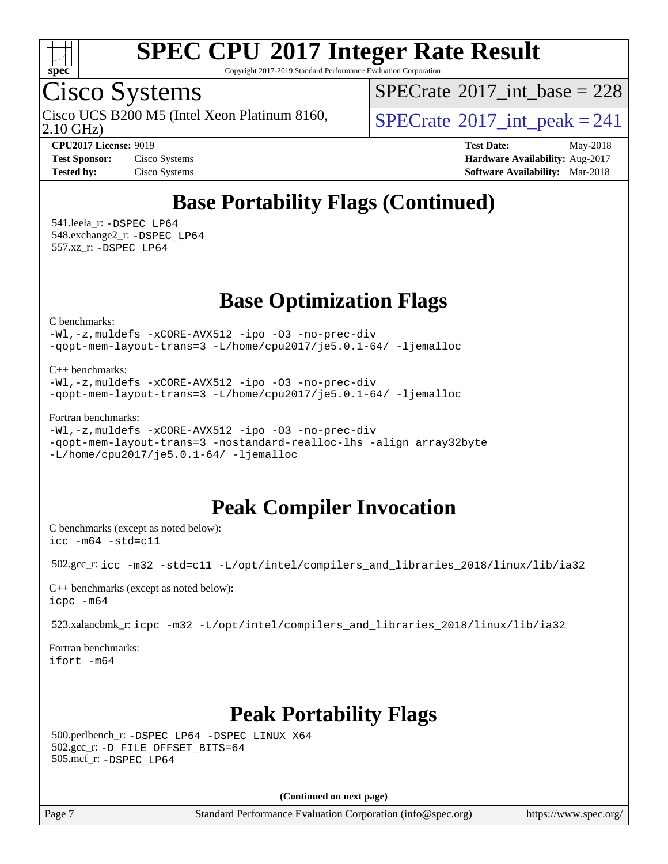

Copyright 2017-2019 Standard Performance Evaluation Corporation

## Cisco Systems

2.10 GHz) Cisco UCS B200 M5 (Intel Xeon Platinum 8160,  $\vert$ [SPECrate](http://www.spec.org/auto/cpu2017/Docs/result-fields.html#SPECrate2017intpeak)®[2017\\_int\\_peak = 2](http://www.spec.org/auto/cpu2017/Docs/result-fields.html#SPECrate2017intpeak)41

 $SPECrate$ <sup>®</sup>[2017\\_int\\_base =](http://www.spec.org/auto/cpu2017/Docs/result-fields.html#SPECrate2017intbase) 228

**[CPU2017 License:](http://www.spec.org/auto/cpu2017/Docs/result-fields.html#CPU2017License)** 9019 **[Test Date:](http://www.spec.org/auto/cpu2017/Docs/result-fields.html#TestDate)** May-2018 **[Test Sponsor:](http://www.spec.org/auto/cpu2017/Docs/result-fields.html#TestSponsor)** Cisco Systems **[Hardware Availability:](http://www.spec.org/auto/cpu2017/Docs/result-fields.html#HardwareAvailability)** Aug-2017 **[Tested by:](http://www.spec.org/auto/cpu2017/Docs/result-fields.html#Testedby)** Cisco Systems **[Software Availability:](http://www.spec.org/auto/cpu2017/Docs/result-fields.html#SoftwareAvailability)** Mar-2018

## **[Base Portability Flags \(Continued\)](http://www.spec.org/auto/cpu2017/Docs/result-fields.html#BasePortabilityFlags)**

 541.leela\_r: [-DSPEC\\_LP64](http://www.spec.org/cpu2017/results/res2018q2/cpu2017-20180515-05682.flags.html#suite_basePORTABILITY541_leela_r_DSPEC_LP64) 548.exchange2\_r: [-DSPEC\\_LP64](http://www.spec.org/cpu2017/results/res2018q2/cpu2017-20180515-05682.flags.html#suite_basePORTABILITY548_exchange2_r_DSPEC_LP64) 557.xz\_r: [-DSPEC\\_LP64](http://www.spec.org/cpu2017/results/res2018q2/cpu2017-20180515-05682.flags.html#suite_basePORTABILITY557_xz_r_DSPEC_LP64)

**[Base Optimization Flags](http://www.spec.org/auto/cpu2017/Docs/result-fields.html#BaseOptimizationFlags)**

[C benchmarks](http://www.spec.org/auto/cpu2017/Docs/result-fields.html#Cbenchmarks):

[-Wl,-z,muldefs](http://www.spec.org/cpu2017/results/res2018q2/cpu2017-20180515-05682.flags.html#user_CCbase_link_force_multiple1_b4cbdb97b34bdee9ceefcfe54f4c8ea74255f0b02a4b23e853cdb0e18eb4525ac79b5a88067c842dd0ee6996c24547a27a4b99331201badda8798ef8a743f577) [-xCORE-AVX512](http://www.spec.org/cpu2017/results/res2018q2/cpu2017-20180515-05682.flags.html#user_CCbase_f-xCORE-AVX512) [-ipo](http://www.spec.org/cpu2017/results/res2018q2/cpu2017-20180515-05682.flags.html#user_CCbase_f-ipo) [-O3](http://www.spec.org/cpu2017/results/res2018q2/cpu2017-20180515-05682.flags.html#user_CCbase_f-O3) [-no-prec-div](http://www.spec.org/cpu2017/results/res2018q2/cpu2017-20180515-05682.flags.html#user_CCbase_f-no-prec-div) [-qopt-mem-layout-trans=3](http://www.spec.org/cpu2017/results/res2018q2/cpu2017-20180515-05682.flags.html#user_CCbase_f-qopt-mem-layout-trans_de80db37974c74b1f0e20d883f0b675c88c3b01e9d123adea9b28688d64333345fb62bc4a798493513fdb68f60282f9a726aa07f478b2f7113531aecce732043) [-L/home/cpu2017/je5.0.1-64/](http://www.spec.org/cpu2017/results/res2018q2/cpu2017-20180515-05682.flags.html#user_CCbase_jemalloc_link_path64_8e927a5f1bdac0405e66c637541874330e08086b5e62a1d024bcf3497e3c64fd173c8afb7d1730d51f6da781ef4c439bdab468bb8364cf71435e0c609fac500c) [-ljemalloc](http://www.spec.org/cpu2017/results/res2018q2/cpu2017-20180515-05682.flags.html#user_CCbase_jemalloc_link_lib_d1249b907c500fa1c0672f44f562e3d0f79738ae9e3c4a9c376d49f265a04b9c99b167ecedbf6711b3085be911c67ff61f150a17b3472be731631ba4d0471706)

[C++ benchmarks:](http://www.spec.org/auto/cpu2017/Docs/result-fields.html#CXXbenchmarks)

[-Wl,-z,muldefs](http://www.spec.org/cpu2017/results/res2018q2/cpu2017-20180515-05682.flags.html#user_CXXbase_link_force_multiple1_b4cbdb97b34bdee9ceefcfe54f4c8ea74255f0b02a4b23e853cdb0e18eb4525ac79b5a88067c842dd0ee6996c24547a27a4b99331201badda8798ef8a743f577) [-xCORE-AVX512](http://www.spec.org/cpu2017/results/res2018q2/cpu2017-20180515-05682.flags.html#user_CXXbase_f-xCORE-AVX512) [-ipo](http://www.spec.org/cpu2017/results/res2018q2/cpu2017-20180515-05682.flags.html#user_CXXbase_f-ipo) [-O3](http://www.spec.org/cpu2017/results/res2018q2/cpu2017-20180515-05682.flags.html#user_CXXbase_f-O3) [-no-prec-div](http://www.spec.org/cpu2017/results/res2018q2/cpu2017-20180515-05682.flags.html#user_CXXbase_f-no-prec-div) [-qopt-mem-layout-trans=3](http://www.spec.org/cpu2017/results/res2018q2/cpu2017-20180515-05682.flags.html#user_CXXbase_f-qopt-mem-layout-trans_de80db37974c74b1f0e20d883f0b675c88c3b01e9d123adea9b28688d64333345fb62bc4a798493513fdb68f60282f9a726aa07f478b2f7113531aecce732043) [-L/home/cpu2017/je5.0.1-64/](http://www.spec.org/cpu2017/results/res2018q2/cpu2017-20180515-05682.flags.html#user_CXXbase_jemalloc_link_path64_8e927a5f1bdac0405e66c637541874330e08086b5e62a1d024bcf3497e3c64fd173c8afb7d1730d51f6da781ef4c439bdab468bb8364cf71435e0c609fac500c) [-ljemalloc](http://www.spec.org/cpu2017/results/res2018q2/cpu2017-20180515-05682.flags.html#user_CXXbase_jemalloc_link_lib_d1249b907c500fa1c0672f44f562e3d0f79738ae9e3c4a9c376d49f265a04b9c99b167ecedbf6711b3085be911c67ff61f150a17b3472be731631ba4d0471706)

[Fortran benchmarks](http://www.spec.org/auto/cpu2017/Docs/result-fields.html#Fortranbenchmarks):

```
-Wl,-z,muldefs -xCORE-AVX512 -ipo -O3 -no-prec-div
-qopt-mem-layout-trans=3 -nostandard-realloc-lhs -align array32byte
-L/home/cpu2017/je5.0.1-64/ -ljemalloc
```
### **[Peak Compiler Invocation](http://www.spec.org/auto/cpu2017/Docs/result-fields.html#PeakCompilerInvocation)**

[C benchmarks \(except as noted below\)](http://www.spec.org/auto/cpu2017/Docs/result-fields.html#Cbenchmarksexceptasnotedbelow): [icc -m64 -std=c11](http://www.spec.org/cpu2017/results/res2018q2/cpu2017-20180515-05682.flags.html#user_CCpeak_intel_icc_64bit_c11_33ee0cdaae7deeeab2a9725423ba97205ce30f63b9926c2519791662299b76a0318f32ddfffdc46587804de3178b4f9328c46fa7c2b0cd779d7a61945c91cd35)

502.gcc\_r: [icc -m32 -std=c11 -L/opt/intel/compilers\\_and\\_libraries\\_2018/linux/lib/ia32](http://www.spec.org/cpu2017/results/res2018q2/cpu2017-20180515-05682.flags.html#user_peakCCLD502_gcc_r_intel_icc_2aadaa14f62c0e1495cde6f74ba3d875dfbad9f2fd73ceb1e5b66a7d4b19dc13cfe8615ba85624bf35f0c003544b7d55013bf72425d956b559f9a2757f69c910)

[C++ benchmarks \(except as noted below\):](http://www.spec.org/auto/cpu2017/Docs/result-fields.html#CXXbenchmarksexceptasnotedbelow) [icpc -m64](http://www.spec.org/cpu2017/results/res2018q2/cpu2017-20180515-05682.flags.html#user_CXXpeak_intel_icpc_64bit_4ecb2543ae3f1412ef961e0650ca070fec7b7afdcd6ed48761b84423119d1bf6bdf5cad15b44d48e7256388bc77273b966e5eb805aefd121eb22e9299b2ec9d9)

523.xalancbmk\_r: [icpc -m32 -L/opt/intel/compilers\\_and\\_libraries\\_2018/linux/lib/ia32](http://www.spec.org/cpu2017/results/res2018q2/cpu2017-20180515-05682.flags.html#user_peakCXXLD523_xalancbmk_r_intel_icpc_49b8c4a2e52517df5e44233d8730ac3dfca5acbb5ef11df3347e50260a55109134bcb7fd2e543798dfd93e66566a4e08776ad3f7d40a4ff4276870c090f61f0e)

[Fortran benchmarks](http://www.spec.org/auto/cpu2017/Docs/result-fields.html#Fortranbenchmarks): [ifort -m64](http://www.spec.org/cpu2017/results/res2018q2/cpu2017-20180515-05682.flags.html#user_FCpeak_intel_ifort_64bit_24f2bb282fbaeffd6157abe4f878425411749daecae9a33200eee2bee2fe76f3b89351d69a8130dd5949958ce389cf37ff59a95e7a40d588e8d3a57e0c3fd751)

## **[Peak Portability Flags](http://www.spec.org/auto/cpu2017/Docs/result-fields.html#PeakPortabilityFlags)**

 500.perlbench\_r: [-DSPEC\\_LP64](http://www.spec.org/cpu2017/results/res2018q2/cpu2017-20180515-05682.flags.html#b500.perlbench_r_peakPORTABILITY_DSPEC_LP64) [-DSPEC\\_LINUX\\_X64](http://www.spec.org/cpu2017/results/res2018q2/cpu2017-20180515-05682.flags.html#b500.perlbench_r_peakCPORTABILITY_DSPEC_LINUX_X64) 502.gcc\_r: [-D\\_FILE\\_OFFSET\\_BITS=64](http://www.spec.org/cpu2017/results/res2018q2/cpu2017-20180515-05682.flags.html#user_peakPORTABILITY502_gcc_r_file_offset_bits_64_5ae949a99b284ddf4e95728d47cb0843d81b2eb0e18bdfe74bbf0f61d0b064f4bda2f10ea5eb90e1dcab0e84dbc592acfc5018bc955c18609f94ddb8d550002c) 505.mcf\_r: [-DSPEC\\_LP64](http://www.spec.org/cpu2017/results/res2018q2/cpu2017-20180515-05682.flags.html#suite_peakPORTABILITY505_mcf_r_DSPEC_LP64)

**(Continued on next page)**

Page 7 Standard Performance Evaluation Corporation [\(info@spec.org\)](mailto:info@spec.org) <https://www.spec.org/>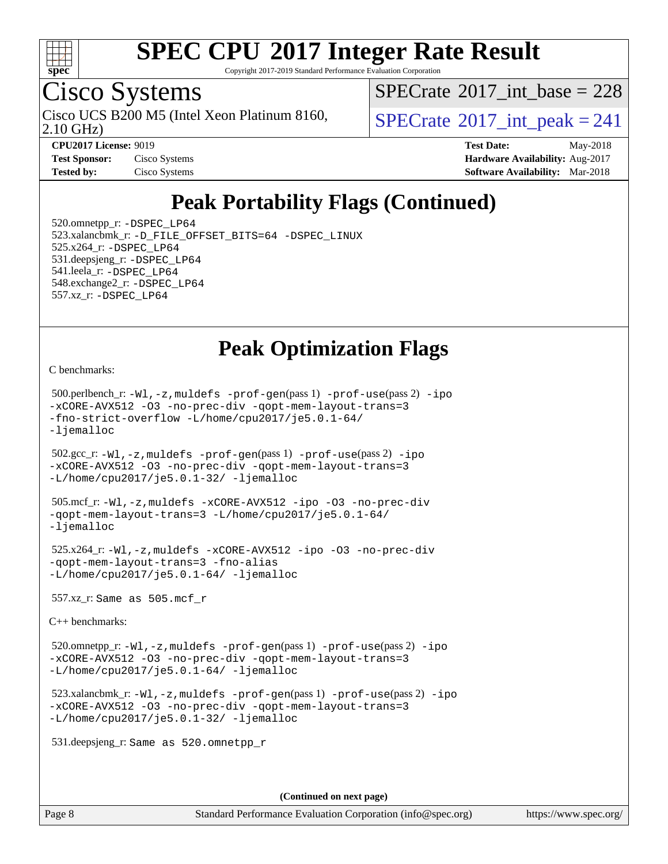

Copyright 2017-2019 Standard Performance Evaluation Corporation

## Cisco Systems

2.10 GHz) Cisco UCS B200 M5 (Intel Xeon Platinum 8160,  $\vert$ [SPECrate](http://www.spec.org/auto/cpu2017/Docs/result-fields.html#SPECrate2017intpeak)®[2017\\_int\\_peak = 2](http://www.spec.org/auto/cpu2017/Docs/result-fields.html#SPECrate2017intpeak)41

 $SPECTate$ <sup>®</sup>[2017\\_int\\_base =](http://www.spec.org/auto/cpu2017/Docs/result-fields.html#SPECrate2017intbase) 228

**[Tested by:](http://www.spec.org/auto/cpu2017/Docs/result-fields.html#Testedby)** Cisco Systems **[Software Availability:](http://www.spec.org/auto/cpu2017/Docs/result-fields.html#SoftwareAvailability)** Mar-2018

**[CPU2017 License:](http://www.spec.org/auto/cpu2017/Docs/result-fields.html#CPU2017License)** 9019 **[Test Date:](http://www.spec.org/auto/cpu2017/Docs/result-fields.html#TestDate)** May-2018 **[Test Sponsor:](http://www.spec.org/auto/cpu2017/Docs/result-fields.html#TestSponsor)** Cisco Systems **Cisco Systems [Hardware Availability:](http://www.spec.org/auto/cpu2017/Docs/result-fields.html#HardwareAvailability)** Aug-2017

## **[Peak Portability Flags \(Continued\)](http://www.spec.org/auto/cpu2017/Docs/result-fields.html#PeakPortabilityFlags)**

 520.omnetpp\_r: [-DSPEC\\_LP64](http://www.spec.org/cpu2017/results/res2018q2/cpu2017-20180515-05682.flags.html#suite_peakPORTABILITY520_omnetpp_r_DSPEC_LP64) 523.xalancbmk\_r: [-D\\_FILE\\_OFFSET\\_BITS=64](http://www.spec.org/cpu2017/results/res2018q2/cpu2017-20180515-05682.flags.html#user_peakPORTABILITY523_xalancbmk_r_file_offset_bits_64_5ae949a99b284ddf4e95728d47cb0843d81b2eb0e18bdfe74bbf0f61d0b064f4bda2f10ea5eb90e1dcab0e84dbc592acfc5018bc955c18609f94ddb8d550002c) [-DSPEC\\_LINUX](http://www.spec.org/cpu2017/results/res2018q2/cpu2017-20180515-05682.flags.html#b523.xalancbmk_r_peakCXXPORTABILITY_DSPEC_LINUX) 525.x264\_r: [-DSPEC\\_LP64](http://www.spec.org/cpu2017/results/res2018q2/cpu2017-20180515-05682.flags.html#suite_peakPORTABILITY525_x264_r_DSPEC_LP64) 531.deepsjeng\_r: [-DSPEC\\_LP64](http://www.spec.org/cpu2017/results/res2018q2/cpu2017-20180515-05682.flags.html#suite_peakPORTABILITY531_deepsjeng_r_DSPEC_LP64) 541.leela\_r: [-DSPEC\\_LP64](http://www.spec.org/cpu2017/results/res2018q2/cpu2017-20180515-05682.flags.html#suite_peakPORTABILITY541_leela_r_DSPEC_LP64) 548.exchange2\_r: [-DSPEC\\_LP64](http://www.spec.org/cpu2017/results/res2018q2/cpu2017-20180515-05682.flags.html#suite_peakPORTABILITY548_exchange2_r_DSPEC_LP64) 557.xz\_r: [-DSPEC\\_LP64](http://www.spec.org/cpu2017/results/res2018q2/cpu2017-20180515-05682.flags.html#suite_peakPORTABILITY557_xz_r_DSPEC_LP64)

## **[Peak Optimization Flags](http://www.spec.org/auto/cpu2017/Docs/result-fields.html#PeakOptimizationFlags)**

[C benchmarks](http://www.spec.org/auto/cpu2017/Docs/result-fields.html#Cbenchmarks):

```
 500.perlbench_r: -Wl,-z,muldefs -prof-gen(pass 1) -prof-use(pass 2) -ipo
-xCORE-AVX512 -O3 -no-prec-div -qopt-mem-layout-trans=3
-fno-strict-overflow -L/home/cpu2017/je5.0.1-64/
-ljemalloc
 502.gcc_r: -Wl,-z,muldefs -prof-gen(pass 1) -prof-use(pass 2) -ipo
-xCORE-AVX512 -O3 -no-prec-div -qopt-mem-layout-trans=3
-L/home/cpu2017/je5.0.1-32/ -ljemalloc
 505.mcf_r: -Wl,-z,muldefs -xCORE-AVX512 -ipo -O3 -no-prec-div
-qopt-mem-layout-trans=3 -L/home/cpu2017/je5.0.1-64/
-ljemalloc
 525.x264_r: -Wl,-z,muldefs -xCORE-AVX512 -ipo -O3 -no-prec-div
-qopt-mem-layout-trans=3 -fno-alias
-L/home/cpu2017/je5.0.1-64/ -ljemalloc
 557.xz_r: Same as 505.mcf_r
C++ benchmarks: 
 520.omnetpp_r: -Wl,-z,muldefs -prof-gen(pass 1) -prof-use(pass 2) -ipo
-xCORE-AVX512 -O3 -no-prec-div -qopt-mem-layout-trans=3
-L/home/cpu2017/je5.0.1-64/ -ljemalloc
 523.xalancbmk_r: -Wl,-z,muldefs -prof-gen(pass 1) -prof-use(pass 2) -ipo
-xCORE-AVX512 -O3 -no-prec-div -qopt-mem-layout-trans=3
-L/home/cpu2017/je5.0.1-32/ -ljemalloc
 531.deepsjeng_r: Same as 520.omnetpp_r
```
**(Continued on next page)**